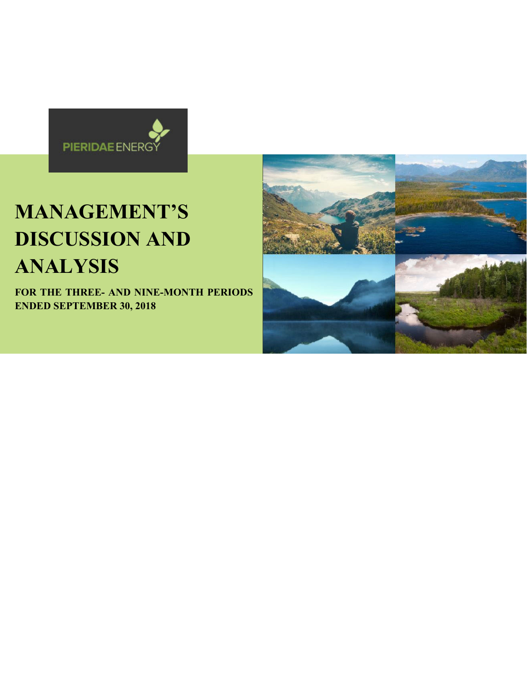

# **MANAGEMENT'S DISCUSSION AND ANALYSIS**

**FOR THE THREE- AND NINE-MONTH PERIODS ENDED SEPTEMBER 30, 2018** 

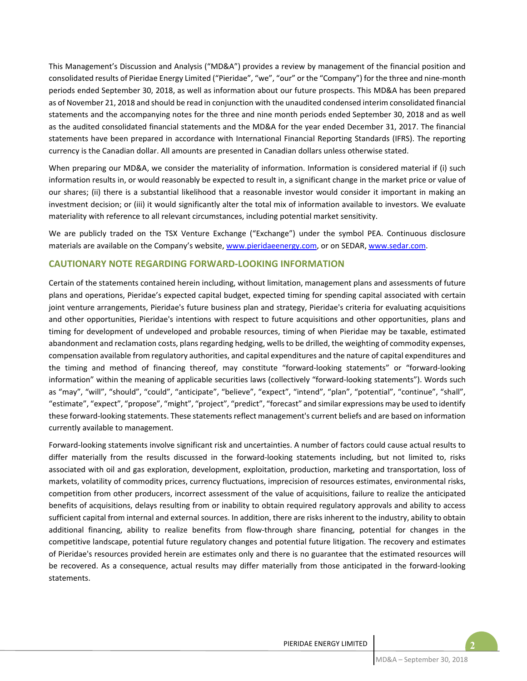This Management's Discussion and Analysis ("MD&A") provides a review by management of the financial position and consolidated results of Pieridae Energy Limited ("Pieridae", "we", "our" or the "Company") for the three and nine-month periods ended September 30, 2018, as well as information about our future prospects. This MD&A has been prepared as of November 21, 2018 and should be read in conjunction with the unaudited condensed interim consolidated financial statements and the accompanying notes for the three and nine month periods ended September 30, 2018 and as well as the audited consolidated financial statements and the MD&A for the year ended December 31, 2017. The financial statements have been prepared in accordance with International Financial Reporting Standards (IFRS). The reporting currency is the Canadian dollar. All amounts are presented in Canadian dollars unless otherwise stated.

When preparing our MD&A, we consider the materiality of information. Information is considered material if (i) such information results in, or would reasonably be expected to result in, a significant change in the market price or value of our shares; (ii) there is a substantial likelihood that a reasonable investor would consider it important in making an investment decision; or (iii) it would significantly alter the total mix of information available to investors. We evaluate materiality with reference to all relevant circumstances, including potential market sensitivity.

We are publicly traded on the TSX Venture Exchange ("Exchange") under the symbol PEA. Continuous disclosure materials are available on the Company's website, www.pieridaeenergy.com, or on SEDAR, www.sedar.com.

## **CAUTIONARY NOTE REGARDING FORWARD‐LOOKING INFORMATION**

Certain of the statements contained herein including, without limitation, management plans and assessments of future plans and operations, Pieridae's expected capital budget, expected timing for spending capital associated with certain joint venture arrangements, Pieridae's future business plan and strategy, Pieridae's criteria for evaluating acquisitions and other opportunities, Pieridae's intentions with respect to future acquisitions and other opportunities, plans and timing for development of undeveloped and probable resources, timing of when Pieridae may be taxable, estimated abandonment and reclamation costs, plans regarding hedging, wells to be drilled, the weighting of commodity expenses, compensation available from regulatory authorities, and capital expenditures and the nature of capital expenditures and the timing and method of financing thereof, may constitute "forward-looking statements" or "forward-looking information" within the meaning of applicable securities laws (collectively "forward-looking statements"). Words such as "may", "will", "should", "could", "anticipate", "believe", "expect", "intend", "plan", "potential", "continue", "shall", "estimate", "expect", "propose", "might", "project", "predict", "forecast" and similar expressions may be used to identify these forward‐looking statements. These statements reflect management's current beliefs and are based on information currently available to management.

Forward‐looking statements involve significant risk and uncertainties. A number of factors could cause actual results to differ materially from the results discussed in the forward-looking statements including, but not limited to, risks associated with oil and gas exploration, development, exploitation, production, marketing and transportation, loss of markets, volatility of commodity prices, currency fluctuations, imprecision of resources estimates, environmental risks, competition from other producers, incorrect assessment of the value of acquisitions, failure to realize the anticipated benefits of acquisitions, delays resulting from or inability to obtain required regulatory approvals and ability to access sufficient capital from internal and external sources. In addition, there are risks inherent to the industry, ability to obtain additional financing, ability to realize benefits from flow-through share financing, potential for changes in the competitive landscape, potential future regulatory changes and potential future litigation. The recovery and estimates of Pieridae's resources provided herein are estimates only and there is no guarantee that the estimated resources will be recovered. As a consequence, actual results may differ materially from those anticipated in the forward-looking statements.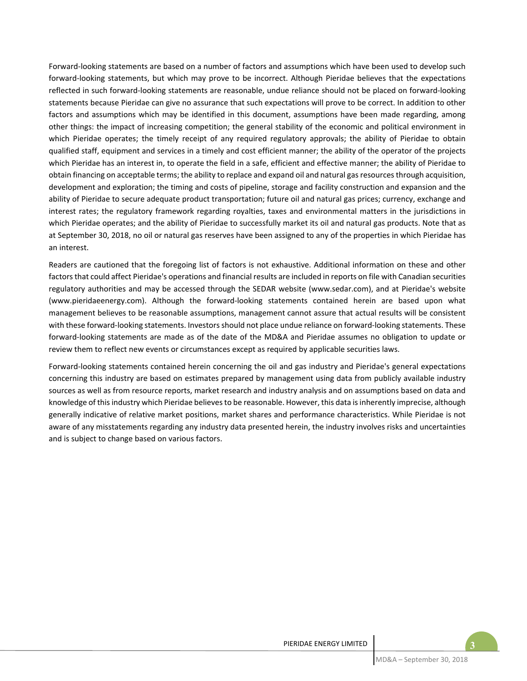Forward‐looking statements are based on a number of factors and assumptions which have been used to develop such forward-looking statements, but which may prove to be incorrect. Although Pieridae believes that the expectations reflected in such forward‐looking statements are reasonable, undue reliance should not be placed on forward‐looking statements because Pieridae can give no assurance that such expectations will prove to be correct. In addition to other factors and assumptions which may be identified in this document, assumptions have been made regarding, among other things: the impact of increasing competition; the general stability of the economic and political environment in which Pieridae operates; the timely receipt of any required regulatory approvals; the ability of Pieridae to obtain qualified staff, equipment and services in a timely and cost efficient manner; the ability of the operator of the projects which Pieridae has an interest in, to operate the field in a safe, efficient and effective manner; the ability of Pieridae to obtain financing on acceptable terms; the ability to replace and expand oil and natural gas resources through acquisition, development and exploration; the timing and costs of pipeline, storage and facility construction and expansion and the ability of Pieridae to secure adequate product transportation; future oil and natural gas prices; currency, exchange and interest rates; the regulatory framework regarding royalties, taxes and environmental matters in the jurisdictions in which Pieridae operates; and the ability of Pieridae to successfully market its oil and natural gas products. Note that as at September 30, 2018, no oil or natural gas reserves have been assigned to any of the properties in which Pieridae has an interest.

Readers are cautioned that the foregoing list of factors is not exhaustive. Additional information on these and other factors that could affect Pieridae's operations and financial results are included in reports on file with Canadian securities regulatory authorities and may be accessed through the SEDAR website (www.sedar.com), and at Pieridae's website (www.pieridaeenergy.com). Although the forward‐looking statements contained herein are based upon what management believes to be reasonable assumptions, management cannot assure that actual results will be consistent with these forward-looking statements. Investors should not place undue reliance on forward-looking statements. These forward-looking statements are made as of the date of the MD&A and Pieridae assumes no obligation to update or review them to reflect new events or circumstances except as required by applicable securities laws.

Forward‐looking statements contained herein concerning the oil and gas industry and Pieridae's general expectations concerning this industry are based on estimates prepared by management using data from publicly available industry sources as well as from resource reports, market research and industry analysis and on assumptions based on data and knowledge of this industry which Pieridae believes to be reasonable. However, this data is inherently imprecise, although generally indicative of relative market positions, market shares and performance characteristics. While Pieridae is not aware of any misstatements regarding any industry data presented herein, the industry involves risks and uncertainties and is subject to change based on various factors.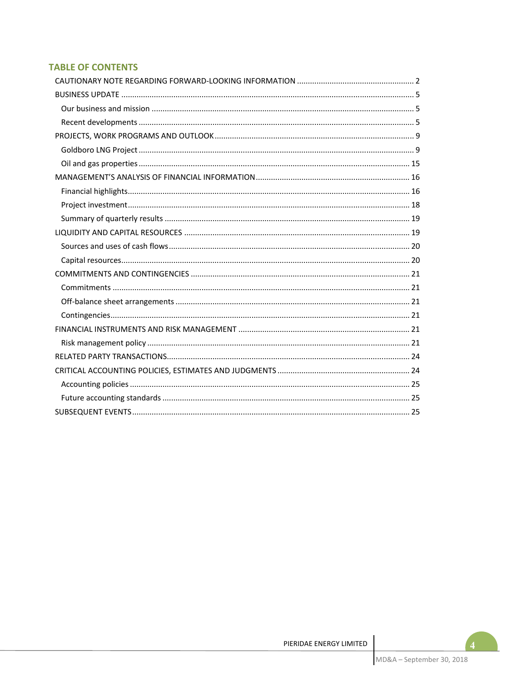# **TABLE OF CONTENTS**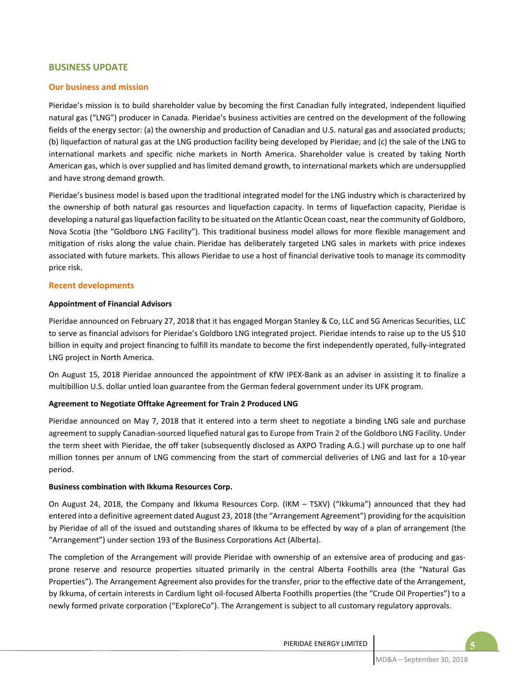## **BUSINESS UPDATE**

## **Our business and mission**

Pieridae's mission is to build shareholder value by becoming the first Canadian fully integrated, independent liquified natural gas ("LNG") producer in Canada. Pieridae's business activities are centred on the development of the following fields of the energy sector: (a) the ownership and production of Canadian and U.S. natural gas and associated products; (b) liquefaction of natural gas at the LNG production facility being developed by Pieridae; and (c) the sale of the LNG to international markets and specific niche markets in North America. Shareholder value is created by taking North American gas, which is over supplied and has limited demand growth, to international markets which are undersupplied and have strong demand growth.

Pieridae's business model is based upon the traditional integrated model for the LNG industry which is characterized by the ownership of both natural gas resources and liquefaction capacity. In terms of liquefaction capacity, Pieridae is developing a natural gas liquefaction facility to be situated on the Atlantic Ocean coast, near the community of Goldboro, Nova Scotia (the "Goldboro LNG Facility"). This traditional business model allows for more flexible management and mitigation of risks along the value chain. Pieridae has deliberately targeted LNG sales in markets with price indexes associated with future markets. This allows Pieridae to use a host of financial derivative tools to manage its commodity price risk.

#### **Recent developments**

#### **Appointment of Financial Advisors**

Pieridae announced on February 27, 2018 that it has engaged Morgan Stanley & Co, LLC and SG Americas Securities, LLC to serve as financial advisors for Pieridae's Goldboro LNG integrated project. Pieridae intends to raise up to the US \$10 billion in equity and project financing to fulfill its mandate to become the first independently operated, fully‐integrated LNG project in North America.

On August 15, 2018 Pieridae announced the appointment of KfW IPEX‐Bank as an adviser in assisting it to finalize a multibillion U.S. dollar untied loan guarantee from the German federal government under its UFK program.

#### **Agreement to Negotiate Offtake Agreement for Train 2 Produced LNG**

Pieridae announced on May 7, 2018 that it entered into a term sheet to negotiate a binding LNG sale and purchase agreement to supply Canadian‐sourced liquefied natural gas to Europe from Train 2 of the Goldboro LNG Facility. Under the term sheet with Pieridae, the off taker (subsequently disclosed as AXPO Trading A.G.) will purchase up to one half million tonnes per annum of LNG commencing from the start of commercial deliveries of LNG and last for a 10‐year period.

#### **Business combination with Ikkuma Resources Corp.**

On August 24, 2018, the Company and Ikkuma Resources Corp. (IKM – TSXV) ("Ikkuma") announced that they had entered into a definitive agreement dated August 23, 2018 (the "Arrangement Agreement") providing for the acquisition by Pieridae of all of the issued and outstanding shares of Ikkuma to be effected by way of a plan of arrangement (the "Arrangement") under section 193 of the Business Corporations Act (Alberta).

The completion of the Arrangement will provide Pieridae with ownership of an extensive area of producing and gasprone reserve and resource properties situated primarily in the central Alberta Foothills area (the "Natural Gas Properties"). The Arrangement Agreement also provides for the transfer, prior to the effective date of the Arrangement, by Ikkuma, of certain interests in Cardium light oil‐focused Alberta Foothills properties (the "Crude Oil Properties") to a newly formed private corporation ("ExploreCo"). The Arrangement is subject to all customary regulatory approvals.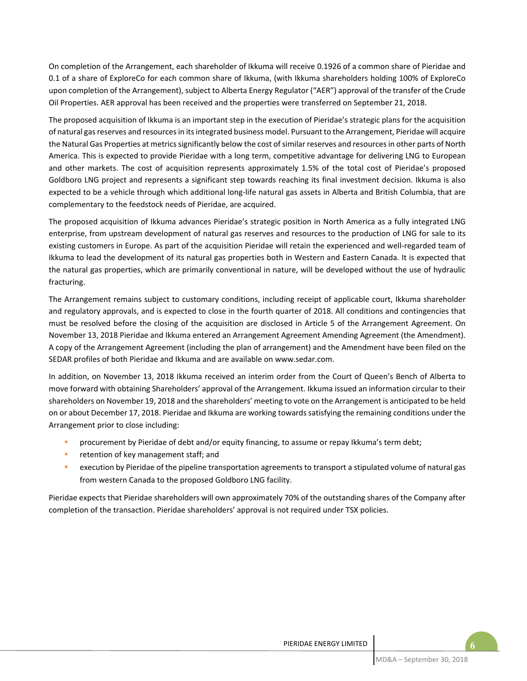On completion of the Arrangement, each shareholder of Ikkuma will receive 0.1926 of a common share of Pieridae and 0.1 of a share of ExploreCo for each common share of Ikkuma, (with Ikkuma shareholders holding 100% of ExploreCo upon completion of the Arrangement), subject to Alberta Energy Regulator ("AER") approval of the transfer of the Crude Oil Properties. AER approval has been received and the properties were transferred on September 21, 2018.

The proposed acquisition of Ikkuma is an important step in the execution of Pieridae's strategic plans for the acquisition of natural gas reserves and resources in its integrated business model. Pursuant to the Arrangement, Pieridae will acquire the Natural Gas Properties at metrics significantly below the cost of similar reserves and resources in other parts of North America. This is expected to provide Pieridae with a long term, competitive advantage for delivering LNG to European and other markets. The cost of acquisition represents approximately 1.5% of the total cost of Pieridae's proposed Goldboro LNG project and represents a significant step towards reaching its final investment decision. Ikkuma is also expected to be a vehicle through which additional long‐life natural gas assets in Alberta and British Columbia, that are complementary to the feedstock needs of Pieridae, are acquired.

The proposed acquisition of Ikkuma advances Pieridae's strategic position in North America as a fully integrated LNG enterprise, from upstream development of natural gas reserves and resources to the production of LNG for sale to its existing customers in Europe. As part of the acquisition Pieridae will retain the experienced and well‐regarded team of Ikkuma to lead the development of its natural gas properties both in Western and Eastern Canada. It is expected that the natural gas properties, which are primarily conventional in nature, will be developed without the use of hydraulic fracturing.

The Arrangement remains subject to customary conditions, including receipt of applicable court, Ikkuma shareholder and regulatory approvals, and is expected to close in the fourth quarter of 2018. All conditions and contingencies that must be resolved before the closing of the acquisition are disclosed in Article 5 of the Arrangement Agreement. On November 13, 2018 Pieridae and Ikkuma entered an Arrangement Agreement Amending Agreement (the Amendment). A copy of the Arrangement Agreement (including the plan of arrangement) and the Amendment have been filed on the SEDAR profiles of both Pieridae and Ikkuma and are available on www.sedar.com.

In addition, on November 13, 2018 Ikkuma received an interim order from the Court of Queen's Bench of Alberta to move forward with obtaining Shareholders' approval of the Arrangement. Ikkuma issued an information circular to their shareholders on November 19, 2018 and the shareholders' meeting to vote on the Arrangement is anticipated to be held on or about December 17, 2018. Pieridae and Ikkuma are working towards satisfying the remaining conditions under the Arrangement prior to close including:

- **Procurement by Pieridae of debt and/or equity financing, to assume or repay Ikkuma's term debt;**
- **F** retention of key management staff; and
- **EXECUTED EXECUTION IS A LOCAL THE PIPELIST CONCOCOLD EXECUTED** Execution by Pieridae of natural gas from western Canada to the proposed Goldboro LNG facility.

Pieridae expects that Pieridae shareholders will own approximately 70% of the outstanding shares of the Company after completion of the transaction. Pieridae shareholders' approval is not required under TSX policies.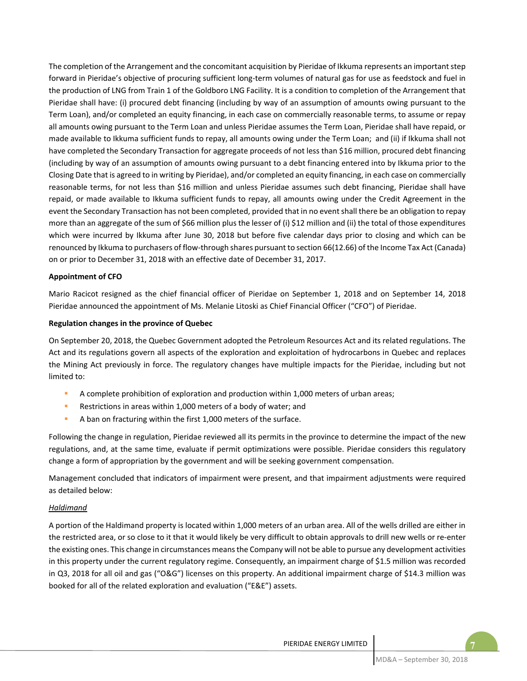The completion of the Arrangement and the concomitant acquisition by Pieridae of Ikkuma represents an important step forward in Pieridae's objective of procuring sufficient long-term volumes of natural gas for use as feedstock and fuel in the production of LNG from Train 1 of the Goldboro LNG Facility. It is a condition to completion of the Arrangement that Pieridae shall have: (i) procured debt financing (including by way of an assumption of amounts owing pursuant to the Term Loan), and/or completed an equity financing, in each case on commercially reasonable terms, to assume or repay all amounts owing pursuant to the Term Loan and unless Pieridae assumes the Term Loan, Pieridae shall have repaid, or made available to Ikkuma sufficient funds to repay, all amounts owing under the Term Loan; and (ii) if Ikkuma shall not have completed the Secondary Transaction for aggregate proceeds of not less than \$16 million, procured debt financing (including by way of an assumption of amounts owing pursuant to a debt financing entered into by Ikkuma prior to the Closing Date that is agreed to in writing by Pieridae), and/or completed an equity financing, in each case on commercially reasonable terms, for not less than \$16 million and unless Pieridae assumes such debt financing, Pieridae shall have repaid, or made available to Ikkuma sufficient funds to repay, all amounts owing under the Credit Agreement in the event the Secondary Transaction has not been completed, provided that in no event shall there be an obligation to repay more than an aggregate of the sum of \$66 million plus the lesser of (i) \$12 million and (ii) the total of those expenditures which were incurred by Ikkuma after June 30, 2018 but before five calendar days prior to closing and which can be renounced by Ikkuma to purchasers of flow‐through shares pursuant to section 66(12.66) of the Income Tax Act (Canada) on or prior to December 31, 2018 with an effective date of December 31, 2017.

#### **Appointment of CFO**

Mario Racicot resigned as the chief financial officer of Pieridae on September 1, 2018 and on September 14, 2018 Pieridae announced the appointment of Ms. Melanie Litoski as Chief Financial Officer ("CFO") of Pieridae.

#### **Regulation changes in the province of Quebec**

On September 20, 2018, the Quebec Government adopted the Petroleum Resources Act and its related regulations. The Act and its regulations govern all aspects of the exploration and exploitation of hydrocarbons in Quebec and replaces the Mining Act previously in force. The regulatory changes have multiple impacts for the Pieridae, including but not limited to:

- A complete prohibition of exploration and production within 1,000 meters of urban areas;
- **Restrictions in areas within 1,000 meters of a body of water; and**
- A ban on fracturing within the first 1,000 meters of the surface.

Following the change in regulation, Pieridae reviewed all its permits in the province to determine the impact of the new regulations, and, at the same time, evaluate if permit optimizations were possible. Pieridae considers this regulatory change a form of appropriation by the government and will be seeking government compensation.

Management concluded that indicators of impairment were present, and that impairment adjustments were required as detailed below:

#### *Haldimand*

A portion of the Haldimand property is located within 1,000 meters of an urban area. All of the wells drilled are either in the restricted area, or so close to it that it would likely be very difficult to obtain approvals to drill new wells or re‐enter the existing ones. This change in circumstances means the Company will not be able to pursue any development activities in this property under the current regulatory regime. Consequently, an impairment charge of \$1.5 million was recorded in Q3, 2018 for all oil and gas ("O&G") licenses on this property. An additional impairment charge of \$14.3 million was booked for all of the related exploration and evaluation ("E&E") assets.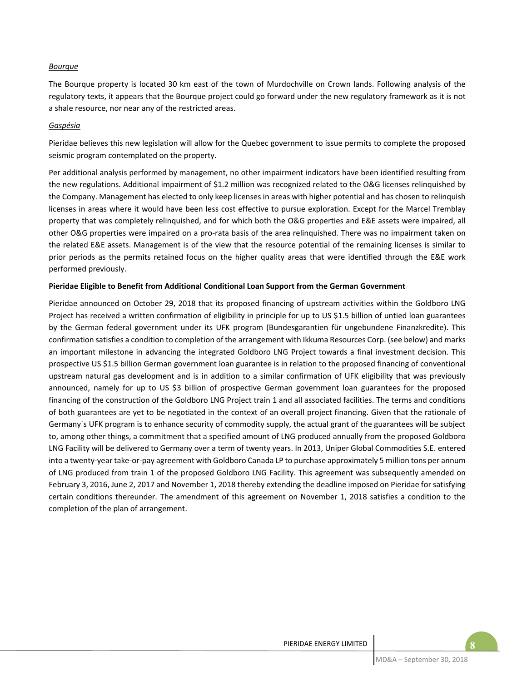#### *Bourque*

The Bourque property is located 30 km east of the town of Murdochville on Crown lands. Following analysis of the regulatory texts, it appears that the Bourque project could go forward under the new regulatory framework as it is not a shale resource, nor near any of the restricted areas.

#### *Gaspésia*

Pieridae believes this new legislation will allow for the Quebec government to issue permits to complete the proposed seismic program contemplated on the property.

Per additional analysis performed by management, no other impairment indicators have been identified resulting from the new regulations. Additional impairment of \$1.2 million was recognized related to the O&G licenses relinquished by the Company. Management has elected to only keep licenses in areas with higher potential and has chosen to relinquish licenses in areas where it would have been less cost effective to pursue exploration. Except for the Marcel Tremblay property that was completely relinquished, and for which both the O&G properties and E&E assets were impaired, all other O&G properties were impaired on a pro‐rata basis of the area relinquished. There was no impairment taken on the related E&E assets. Management is of the view that the resource potential of the remaining licenses is similar to prior periods as the permits retained focus on the higher quality areas that were identified through the E&E work performed previously.

#### **Pieridae Eligible to Benefit from Additional Conditional Loan Support from the German Government**

Pieridae announced on October 29, 2018 that its proposed financing of upstream activities within the Goldboro LNG Project has received a written confirmation of eligibility in principle for up to US \$1.5 billion of untied loan guarantees by the German federal government under its UFK program (Bundesgarantien für ungebundene Finanzkredite). This confirmation satisfies a condition to completion of the arrangement with Ikkuma Resources Corp. (see below) and marks an important milestone in advancing the integrated Goldboro LNG Project towards a final investment decision. This prospective US \$1.5 billion German government loan guarantee is in relation to the proposed financing of conventional upstream natural gas development and is in addition to a similar confirmation of UFK eligibility that was previously announced, namely for up to US \$3 billion of prospective German government loan guarantees for the proposed financing of the construction of the Goldboro LNG Project train 1 and all associated facilities. The terms and conditions of both guarantees are yet to be negotiated in the context of an overall project financing. Given that the rationale of Germany´s UFK program is to enhance security of commodity supply, the actual grant of the guarantees will be subject to, among other things, a commitment that a specified amount of LNG produced annually from the proposed Goldboro LNG Facility will be delivered to Germany over a term of twenty years. In 2013, Uniper Global Commodities S.E. entered into a twenty‐year take‐or‐pay agreement with Goldboro Canada LP to purchase approximately 5 million tons per annum of LNG produced from train 1 of the proposed Goldboro LNG Facility. This agreement was subsequently amended on February 3, 2016, June 2, 2017 and November 1, 2018 thereby extending the deadline imposed on Pieridae for satisfying certain conditions thereunder. The amendment of this agreement on November 1, 2018 satisfies a condition to the completion of the plan of arrangement.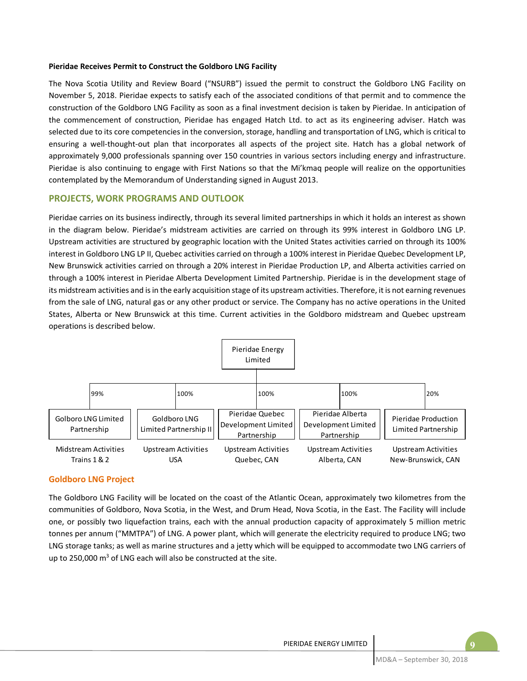#### **Pieridae Receives Permit to Construct the Goldboro LNG Facility**

The Nova Scotia Utility and Review Board ("NSURB") issued the permit to construct the Goldboro LNG Facility on November 5, 2018. Pieridae expects to satisfy each of the associated conditions of that permit and to commence the construction of the Goldboro LNG Facility as soon as a final investment decision is taken by Pieridae. In anticipation of the commencement of construction, Pieridae has engaged Hatch Ltd. to act as its engineering adviser. Hatch was selected due to its core competencies in the conversion, storage, handling and transportation of LNG, which is critical to ensuring a well-thought-out plan that incorporates all aspects of the project site. Hatch has a global network of approximately 9,000 professionals spanning over 150 countries in various sectors including energy and infrastructure. Pieridae is also continuing to engage with First Nations so that the Mi'kmaq people will realize on the opportunities contemplated by the Memorandum of Understanding signed in August 2013.

## **PROJECTS, WORK PROGRAMS AND OUTLOOK**

Pieridae carries on its business indirectly, through its several limited partnerships in which it holds an interest as shown in the diagram below. Pieridae's midstream activities are carried on through its 99% interest in Goldboro LNG LP. Upstream activities are structured by geographic location with the United States activities carried on through its 100% interest in Goldboro LNG LP II, Quebec activities carried on through a 100% interest in Pieridae Quebec Development LP, New Brunswick activities carried on through a 20% interest in Pieridae Production LP, and Alberta activities carried on through a 100% interest in Pieridae Alberta Development Limited Partnership. Pieridae is in the development stage of its midstream activities and is in the early acquisition stage of its upstream activities. Therefore, it is not earning revenues from the sale of LNG, natural gas or any other product or service. The Company has no active operations in the United States, Alberta or New Brunswick at this time. Current activities in the Goldboro midstream and Quebec upstream operations is described below.



#### **Goldboro LNG Project**

The Goldboro LNG Facility will be located on the coast of the Atlantic Ocean, approximately two kilometres from the communities of Goldboro, Nova Scotia, in the West, and Drum Head, Nova Scotia, in the East. The Facility will include one, or possibly two liquefaction trains, each with the annual production capacity of approximately 5 million metric tonnes per annum ("MMTPA") of LNG. A power plant, which will generate the electricity required to produce LNG; two LNG storage tanks; as well as marine structures and a jetty which will be equipped to accommodate two LNG carriers of up to 250,000  $\text{m}^3$  of LNG each will also be constructed at the site.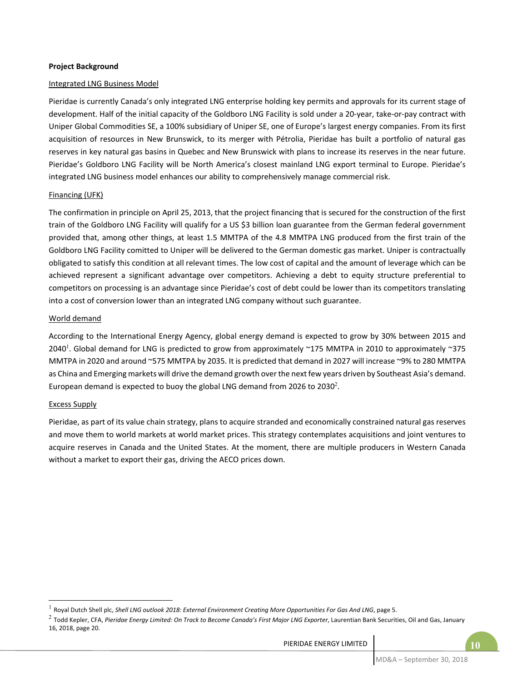#### **Project Background**

#### Integrated LNG Business Model

Pieridae is currently Canada's only integrated LNG enterprise holding key permits and approvals for its current stage of development. Half of the initial capacity of the Goldboro LNG Facility is sold under a 20‐year, take‐or‐pay contract with Uniper Global Commodities SE, a 100% subsidiary of Uniper SE, one of Europe's largest energy companies. From its first acquisition of resources in New Brunswick, to its merger with Pétrolia, Pieridae has built a portfolio of natural gas reserves in key natural gas basins in Quebec and New Brunswick with plans to increase its reserves in the near future. Pieridae's Goldboro LNG Facility will be North America's closest mainland LNG export terminal to Europe. Pieridae's integrated LNG business model enhances our ability to comprehensively manage commercial risk.

#### Financing (UFK)

The confirmation in principle on April 25, 2013, that the project financing that is secured for the construction of the first train of the Goldboro LNG Facility will qualify for a US \$3 billion loan guarantee from the German federal government provided that, among other things, at least 1.5 MMTPA of the 4.8 MMTPA LNG produced from the first train of the Goldboro LNG Facility comitted to Uniper will be delivered to the German domestic gas market. Uniper is contractually obligated to satisfy this condition at all relevant times. The low cost of capital and the amount of leverage which can be achieved represent a significant advantage over competitors. Achieving a debt to equity structure preferential to competitors on processing is an advantage since Pieridae's cost of debt could be lower than its competitors translating into a cost of conversion lower than an integrated LNG company without such guarantee.

#### World demand

According to the International Energy Agency, global energy demand is expected to grow by 30% between 2015 and 2040<sup>1</sup>. Global demand for LNG is predicted to grow from approximately  $\sim$ 175 MMTPA in 2010 to approximately  $\sim$ 375 MMTPA in 2020 and around ~575 MMTPA by 2035. It is predicted that demand in 2027 will increase ~9% to 280 MMTPA as China and Emerging markets will drive the demand growth over the next few years driven by Southeast Asia's demand. European demand is expected to buoy the global LNG demand from 2026 to 2030<sup>2</sup>.

#### Excess Supply

 $\overline{a}$ 

Pieridae, as part of its value chain strategy, plans to acquire stranded and economically constrained natural gas reserves and move them to world markets at world market prices. This strategy contemplates acquisitions and joint ventures to acquire reserves in Canada and the United States. At the moment, there are multiple producers in Western Canada without a market to export their gas, driving the AECO prices down.

<sup>1</sup> Royal Dutch Shell plc, *Shell LNG outlook 2018: External Environment Creating More Opportunities For Gas And LNG*, page 5.

<sup>&</sup>lt;sup>2</sup> Todd Kepler, CFA, Pieridae Energy Limited: On Track to Become Canada's First Major LNG Exporter, Laurentian Bank Securities, Oil and Gas, January 16, 2018, page 20.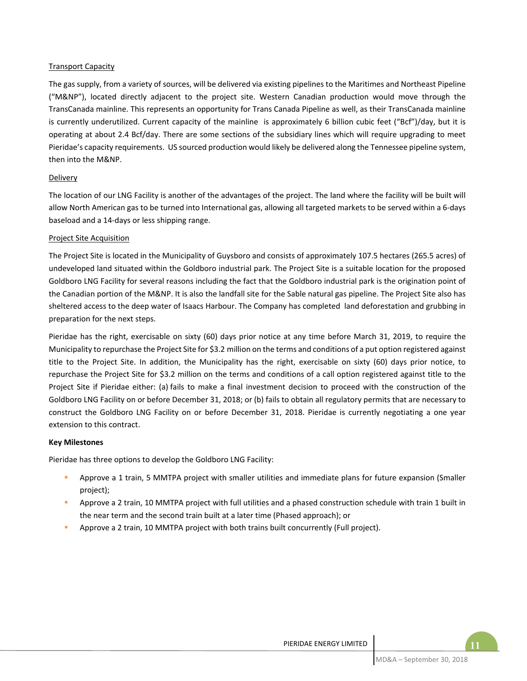#### Transport Capacity

The gas supply, from a variety of sources, will be delivered via existing pipelines to the Maritimes and Northeast Pipeline ("M&NP"), located directly adjacent to the project site. Western Canadian production would move through the TransCanada mainline. This represents an opportunity for Trans Canada Pipeline as well, as their TransCanada mainline is currently underutilized. Current capacity of the mainline is approximately 6 billion cubic feet ("Bcf")/day, but it is operating at about 2.4 Bcf/day. There are some sections of the subsidiary lines which will require upgrading to meet Pieridae's capacity requirements. US sourced production would likely be delivered along the Tennessee pipeline system, then into the M&NP.

#### Delivery

The location of our LNG Facility is another of the advantages of the project. The land where the facility will be built will allow North American gas to be turned into International gas, allowing all targeted markets to be served within a 6‐days baseload and a 14‐days or less shipping range.

#### Project Site Acquisition

The Project Site is located in the Municipality of Guysboro and consists of approximately 107.5 hectares (265.5 acres) of undeveloped land situated within the Goldboro industrial park. The Project Site is a suitable location for the proposed Goldboro LNG Facility for several reasons including the fact that the Goldboro industrial park is the origination point of the Canadian portion of the M&NP. It is also the landfall site for the Sable natural gas pipeline. The Project Site also has sheltered access to the deep water of Isaacs Harbour. The Company has completed land deforestation and grubbing in preparation for the next steps.

Pieridae has the right, exercisable on sixty (60) days prior notice at any time before March 31, 2019, to require the Municipality to repurchase the Project Site for \$3.2 million on the terms and conditions of a put option registered against title to the Project Site. In addition, the Municipality has the right, exercisable on sixty (60) days prior notice, to repurchase the Project Site for \$3.2 million on the terms and conditions of a call option registered against title to the Project Site if Pieridae either: (a) fails to make a final investment decision to proceed with the construction of the Goldboro LNG Facility on or before December 31, 2018; or (b) fails to obtain all regulatory permits that are necessary to construct the Goldboro LNG Facility on or before December 31, 2018. Pieridae is currently negotiating a one year extension to this contract.

#### **Key Milestones**

Pieridae has three options to develop the Goldboro LNG Facility:

- Approve a 1 train, 5 MMTPA project with smaller utilities and immediate plans for future expansion (Smaller project);
- Approve a 2 train, 10 MMTPA project with full utilities and a phased construction schedule with train 1 built in the near term and the second train built at a later time (Phased approach); or
- Approve a 2 train, 10 MMTPA project with both trains built concurrently (Full project).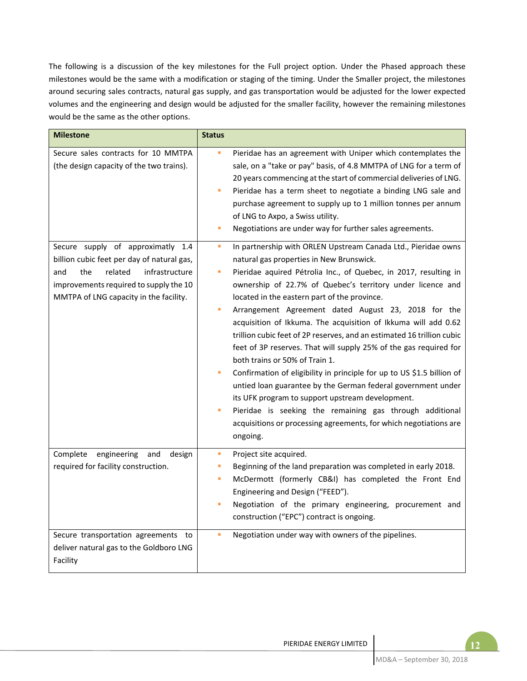The following is a discussion of the key milestones for the Full project option. Under the Phased approach these milestones would be the same with a modification or staging of the timing. Under the Smaller project, the milestones around securing sales contracts, natural gas supply, and gas transportation would be adjusted for the lower expected volumes and the engineering and design would be adjusted for the smaller facility, however the remaining milestones would be the same as the other options.

| <b>Milestone</b>                                                                                                                                                          | <b>Status</b>           |                                                                                                                                                                                                                                                                                                                                                                                                                                                                                                                                                                                                                                                                                                                                                                                                                                                                                 |
|---------------------------------------------------------------------------------------------------------------------------------------------------------------------------|-------------------------|---------------------------------------------------------------------------------------------------------------------------------------------------------------------------------------------------------------------------------------------------------------------------------------------------------------------------------------------------------------------------------------------------------------------------------------------------------------------------------------------------------------------------------------------------------------------------------------------------------------------------------------------------------------------------------------------------------------------------------------------------------------------------------------------------------------------------------------------------------------------------------|
| Secure sales contracts for 10 MMTPA<br>(the design capacity of the two trains).<br>Secure supply of approximatly 1.4                                                      | I.<br>L,<br>٠<br>u,     | Pieridae has an agreement with Uniper which contemplates the<br>sale, on a "take or pay" basis, of 4.8 MMTPA of LNG for a term of<br>20 years commencing at the start of commercial deliveries of LNG.<br>Pieridae has a term sheet to negotiate a binding LNG sale and<br>purchase agreement to supply up to 1 million tonnes per annum<br>of LNG to Axpo, a Swiss utility.<br>Negotiations are under way for further sales agreements.<br>In partnership with ORLEN Upstream Canada Ltd., Pieridae owns                                                                                                                                                                                                                                                                                                                                                                       |
| billion cubic feet per day of natural gas,<br>infrastructure<br>and<br>the<br>related<br>improvements required to supply the 10<br>MMTPA of LNG capacity in the facility. | I.<br>ш<br>I.<br>Ľ,     | natural gas properties in New Brunswick.<br>Pieridae aquired Pétrolia Inc., of Quebec, in 2017, resulting in<br>ownership of 22.7% of Quebec's territory under licence and<br>located in the eastern part of the province.<br>Arrangement Agreement dated August 23, 2018 for the<br>acquisition of Ikkuma. The acquisition of Ikkuma will add 0.62<br>trillion cubic feet of 2P reserves, and an estimated 16 trillion cubic<br>feet of 3P reserves. That will supply 25% of the gas required for<br>both trains or 50% of Train 1.<br>Confirmation of eligibility in principle for up to US \$1.5 billion of<br>untied loan guarantee by the German federal government under<br>its UFK program to support upstream development.<br>Pieridae is seeking the remaining gas through additional<br>acquisitions or processing agreements, for which negotiations are<br>ongoing. |
| Complete<br>engineering<br>and<br>design<br>required for facility construction.<br>Secure transportation agreements to<br>deliver natural gas to the Goldboro LNG         | a.<br>п<br>Ľ,<br>п<br>× | Project site acquired.<br>Beginning of the land preparation was completed in early 2018.<br>McDermott (formerly CB&I) has completed the Front End<br>Engineering and Design ("FEED").<br>Negotiation of the primary engineering, procurement and<br>construction ("EPC") contract is ongoing.<br>Negotiation under way with owners of the pipelines.                                                                                                                                                                                                                                                                                                                                                                                                                                                                                                                            |
| Facility                                                                                                                                                                  |                         |                                                                                                                                                                                                                                                                                                                                                                                                                                                                                                                                                                                                                                                                                                                                                                                                                                                                                 |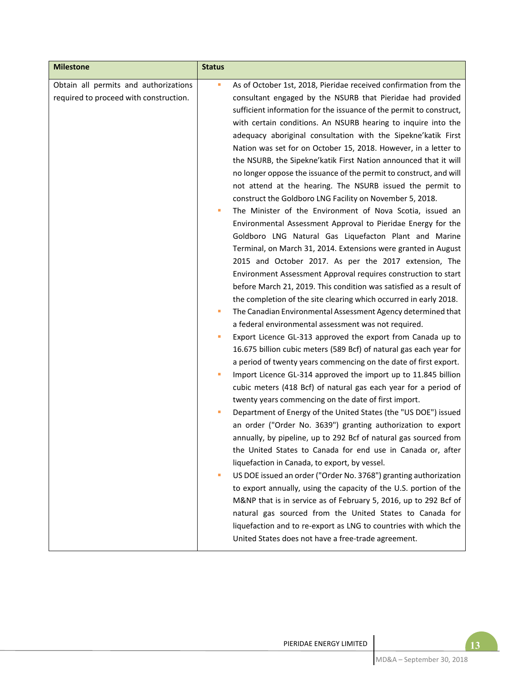| <b>Milestone</b>                                                                | <b>Status</b>                       |                                                                                                                                                                                                                                                                                                                                                                                                                                                                                                                                                                                                                                                                                                                                                                                                                                                                                                                                                                                                                                                                                                                                                                                                                                                                                                                                                                                                                                                                                                                                                                                                                                                                                                                                                                                                                                                                                                                                                                                                                                                                                                                                                                                                                                                                                                                                            |
|---------------------------------------------------------------------------------|-------------------------------------|--------------------------------------------------------------------------------------------------------------------------------------------------------------------------------------------------------------------------------------------------------------------------------------------------------------------------------------------------------------------------------------------------------------------------------------------------------------------------------------------------------------------------------------------------------------------------------------------------------------------------------------------------------------------------------------------------------------------------------------------------------------------------------------------------------------------------------------------------------------------------------------------------------------------------------------------------------------------------------------------------------------------------------------------------------------------------------------------------------------------------------------------------------------------------------------------------------------------------------------------------------------------------------------------------------------------------------------------------------------------------------------------------------------------------------------------------------------------------------------------------------------------------------------------------------------------------------------------------------------------------------------------------------------------------------------------------------------------------------------------------------------------------------------------------------------------------------------------------------------------------------------------------------------------------------------------------------------------------------------------------------------------------------------------------------------------------------------------------------------------------------------------------------------------------------------------------------------------------------------------------------------------------------------------------------------------------------------------|
| Obtain all permits and authorizations<br>required to proceed with construction. | ù,<br>I.<br>I.<br>ш<br>I.<br>п<br>ш | As of October 1st, 2018, Pieridae received confirmation from the<br>consultant engaged by the NSURB that Pieridae had provided<br>sufficient information for the issuance of the permit to construct,<br>with certain conditions. An NSURB hearing to inquire into the<br>adequacy aboriginal consultation with the Sipekne' katik First<br>Nation was set for on October 15, 2018. However, in a letter to<br>the NSURB, the Sipekne'katik First Nation announced that it will<br>no longer oppose the issuance of the permit to construct, and will<br>not attend at the hearing. The NSURB issued the permit to<br>construct the Goldboro LNG Facility on November 5, 2018.<br>The Minister of the Environment of Nova Scotia, issued an<br>Environmental Assessment Approval to Pieridae Energy for the<br>Goldboro LNG Natural Gas Liquefacton Plant and Marine<br>Terminal, on March 31, 2014. Extensions were granted in August<br>2015 and October 2017. As per the 2017 extension, The<br>Environment Assessment Approval requires construction to start<br>before March 21, 2019. This condition was satisfied as a result of<br>the completion of the site clearing which occurred in early 2018.<br>The Canadian Environmental Assessment Agency determined that<br>a federal environmental assessment was not required.<br>Export Licence GL-313 approved the export from Canada up to<br>16.675 billion cubic meters (589 Bcf) of natural gas each year for<br>a period of twenty years commencing on the date of first export.<br>Import Licence GL-314 approved the import up to 11.845 billion<br>cubic meters (418 Bcf) of natural gas each year for a period of<br>twenty years commencing on the date of first import.<br>Department of Energy of the United States (the "US DOE") issued<br>an order ("Order No. 3639") granting authorization to export<br>annually, by pipeline, up to 292 Bcf of natural gas sourced from<br>the United States to Canada for end use in Canada or, after<br>liquefaction in Canada, to export, by vessel.<br>US DOE issued an order ("Order No. 3768") granting authorization<br>to export annually, using the capacity of the U.S. portion of the<br>M&NP that is in service as of February 5, 2016, up to 292 Bcf of<br>natural gas sourced from the United States to Canada for |
|                                                                                 |                                     | liquefaction and to re-export as LNG to countries with which the<br>United States does not have a free-trade agreement.                                                                                                                                                                                                                                                                                                                                                                                                                                                                                                                                                                                                                                                                                                                                                                                                                                                                                                                                                                                                                                                                                                                                                                                                                                                                                                                                                                                                                                                                                                                                                                                                                                                                                                                                                                                                                                                                                                                                                                                                                                                                                                                                                                                                                    |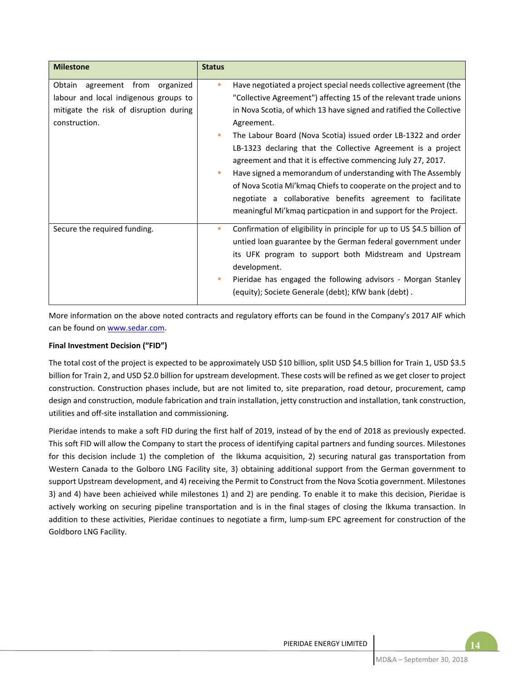| <b>Milestone</b>                                                                                                                       | <b>Status</b> |                                                                                                                                                                                                                                                                                                                                                                                                                                                                                                                                                                                                                                                                                                  |
|----------------------------------------------------------------------------------------------------------------------------------------|---------------|--------------------------------------------------------------------------------------------------------------------------------------------------------------------------------------------------------------------------------------------------------------------------------------------------------------------------------------------------------------------------------------------------------------------------------------------------------------------------------------------------------------------------------------------------------------------------------------------------------------------------------------------------------------------------------------------------|
| agreement from organized<br>Obtain<br>labour and local indigenous groups to<br>mitigate the risk of disruption during<br>construction. | ш<br>п<br>ш   | Have negotiated a project special needs collective agreement (the<br>"Collective Agreement") affecting 15 of the relevant trade unions<br>in Nova Scotia, of which 13 have signed and ratified the Collective<br>Agreement.<br>The Labour Board (Nova Scotia) issued order LB-1322 and order<br>LB-1323 declaring that the Collective Agreement is a project<br>agreement and that it is effective commencing July 27, 2017.<br>Have signed a memorandum of understanding with The Assembly<br>of Nova Scotia Mi'kmaq Chiefs to cooperate on the project and to<br>negotiate a collaborative benefits agreement to facilitate<br>meaningful Mi'kmaq particpation in and support for the Project. |
| Secure the required funding.                                                                                                           | ш<br>ш        | Confirmation of eligibility in principle for up to US \$4.5 billion of<br>untied loan guarantee by the German federal government under<br>its UFK program to support both Midstream and Upstream<br>development.<br>Pieridae has engaged the following advisors - Morgan Stanley<br>(equity); Societe Generale (debt); KfW bank (debt).                                                                                                                                                                                                                                                                                                                                                          |

More information on the above noted contracts and regulatory efforts can be found in the Company's 2017 AIF which can be found on www.sedar.com.

#### **Final Investment Decision ("FID")**

The total cost of the project is expected to be approximately USD \$10 billion, split USD \$4.5 billion for Train 1, USD \$3.5 billion for Train 2, and USD \$2.0 billion for upstream development. These costs will be refined as we get closer to project construction. Construction phases include, but are not limited to, site preparation, road detour, procurement, camp design and construction, module fabrication and train installation, jetty construction and installation, tank construction, utilities and off‐site installation and commissioning.

Pieridae intends to make a soft FID during the first half of 2019, instead of by the end of 2018 as previously expected. This soft FID will allow the Company to start the process of identifying capital partners and funding sources. Milestones for this decision include 1) the completion of the Ikkuma acquisition, 2) securing natural gas transportation from Western Canada to the Golboro LNG Facility site, 3) obtaining additional support from the German government to support Upstream development, and 4) receiving the Permit to Construct from the Nova Scotia government. Milestones 3) and 4) have been achieived while milestones 1) and 2) are pending. To enable it to make this decision, Pieridae is actively working on securing pipeline transportation and is in the final stages of closing the Ikkuma transaction. In addition to these activities, Pieridae continues to negotiate a firm, lump-sum EPC agreement for construction of the Goldboro LNG Facility.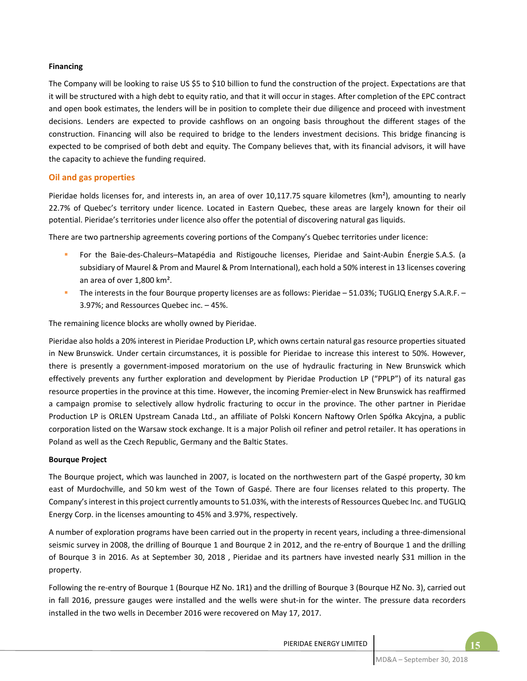## **Financing**

The Company will be looking to raise US \$5 to \$10 billion to fund the construction of the project. Expectations are that it will be structured with a high debt to equity ratio, and that it will occur in stages. After completion of the EPC contract and open book estimates, the lenders will be in position to complete their due diligence and proceed with investment decisions. Lenders are expected to provide cashflows on an ongoing basis throughout the different stages of the construction. Financing will also be required to bridge to the lenders investment decisions. This bridge financing is expected to be comprised of both debt and equity. The Company believes that, with its financial advisors, it will have the capacity to achieve the funding required.

## **Oil and gas properties**

Pieridae holds licenses for, and interests in, an area of over 10,117.75 square kilometres  $(km^2)$ , amounting to nearly 22.7% of Quebec's territory under licence. Located in Eastern Quebec, these areas are largely known for their oil potential. Pieridae's territories under licence also offer the potential of discovering natural gas liquids.

There are two partnership agreements covering portions of the Company's Quebec territories under licence:

- For the Baie-des-Chaleurs–Matapédia and Ristigouche licenses, Pieridae and Saint-Aubin Énergie S.A.S. (a subsidiary of Maurel & Prom and Maurel & Prom International), each hold a 50% interest in 13 licenses covering an area of over 1,800 km².
- The interests in the four Bourque property licenses are as follows: Pieridae 51.03%; TUGLIQ Energy S.A.R.F. 3.97%; and Ressources Quebec inc. – 45%.

The remaining licence blocks are wholly owned by Pieridae.

Pieridae also holds a 20% interest in Pieridae Production LP, which owns certain natural gas resource properties situated in New Brunswick. Under certain circumstances, it is possible for Pieridae to increase this interest to 50%. However, there is presently a government-imposed moratorium on the use of hydraulic fracturing in New Brunswick which effectively prevents any further exploration and development by Pieridae Production LP ("PPLP") of its natural gas resource properties in the province at this time. However, the incoming Premier‐elect in New Brunswick has reaffirmed a campaign promise to selectively allow hydrolic fracturing to occur in the province. The other partner in Pieridae Production LP is ORLEN Upstream Canada Ltd., an affiliate of Polski Koncern Naftowy Orlen Spółka Akcyjna, a public corporation listed on the Warsaw stock exchange. It is a major Polish oil refiner and petrol retailer. It has operations in Poland as well as the Czech Republic, Germany and the Baltic States.

#### **Bourque Project**

The Bourque project, which was launched in 2007, is located on the northwestern part of the Gaspé property, 30 km east of Murdochville, and 50 km west of the Town of Gaspé. There are four licenses related to this property. The Company's interest in this project currently amounts to 51.03%, with the interests of Ressources Quebec Inc. and TUGLIQ Energy Corp. in the licenses amounting to 45% and 3.97%, respectively.

A number of exploration programs have been carried out in the property in recent years, including a three‐dimensional seismic survey in 2008, the drilling of Bourque 1 and Bourque 2 in 2012, and the re-entry of Bourque 1 and the drilling of Bourque 3 in 2016. As at September 30, 2018, Pieridae and its partners have invested nearly \$31 million in the property.

Following the re‐entry of Bourque 1 (Bourque HZ No. 1R1) and the drilling of Bourque 3 (Bourque HZ No. 3), carried out in fall 2016, pressure gauges were installed and the wells were shut-in for the winter. The pressure data recorders installed in the two wells in December 2016 were recovered on May 17, 2017.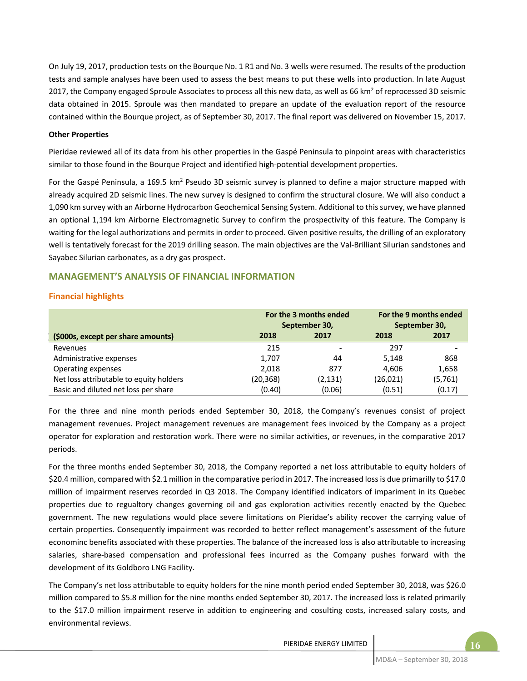On July 19, 2017, production tests on the Bourque No. 1 R1 and No. 3 wells were resumed. The results of the production tests and sample analyses have been used to assess the best means to put these wells into production. In late August 2017, the Company engaged Sproule Associates to process all this new data, as well as 66 km<sup>2</sup> of reprocessed 3D seismic data obtained in 2015. Sproule was then mandated to prepare an update of the evaluation report of the resource contained within the Bourque project, as of September 30, 2017. The final report was delivered on November 15, 2017.

#### **Other Properties**

Pieridae reviewed all of its data from his other properties in the Gaspé Peninsula to pinpoint areas with characteristics similar to those found in the Bourque Project and identified high-potential development properties.

For the Gaspé Peninsula, a 169.5 km<sup>2</sup> Pseudo 3D seismic survey is planned to define a major structure mapped with already acquired 2D seismic lines. The new survey is designed to confirm the structural closure. We will also conduct a 1,090 km survey with an Airborne Hydrocarbon Geochemical Sensing System. Additional to this survey, we have planned an optional 1,194 km Airborne Electromagnetic Survey to confirm the prospectivity of this feature. The Company is waiting for the legal authorizations and permits in order to proceed. Given positive results, the drilling of an exploratory well is tentatively forecast for the 2019 drilling season. The main objectives are the Val‐Brilliant Silurian sandstones and Sayabec Silurian carbonates, as a dry gas prospect.

# **MANAGEMENT'S ANALYSIS OF FINANCIAL INFORMATION**

## **Financial highlights**

|                                         |          | For the 3 months ended<br>September 30, |          | For the 9 months ended<br>September 30, |
|-----------------------------------------|----------|-----------------------------------------|----------|-----------------------------------------|
| (\$000s, except per share amounts)      | 2018     | 2017                                    | 2018     | 2017                                    |
| Revenues                                | 215      |                                         | 297      | -                                       |
| Administrative expenses                 | 1,707    | 44                                      | 5,148    | 868                                     |
| Operating expenses                      | 2,018    | 877                                     | 4.606    | 1,658                                   |
| Net loss attributable to equity holders | (20,368) | (2,131)                                 | (26,021) | (5,761)                                 |
| Basic and diluted net loss per share    | (0.40)   | (0.06)                                  | (0.51)   | (0.17)                                  |

For the three and nine month periods ended September 30, 2018, the Company's revenues consist of project management revenues. Project management revenues are management fees invoiced by the Company as a project operator for exploration and restoration work. There were no similar activities, or revenues, in the comparative 2017 periods.

For the three months ended September 30, 2018, the Company reported a net loss attributable to equity holders of \$20.4 million, compared with \$2.1 million in the comparative period in 2017. The increased loss is due primarilly to \$17.0 million of impairment reserves recorded in Q3 2018. The Company identified indicators of impariment in its Quebec properties due to regualtory changes governing oil and gas exploration activities recently enacted by the Quebec government. The new regulations would place severe limitations on Pieridae's ability recover the carrying value of certain properties. Consequently impairment was recorded to better reflect management's assessment of the future econominc benefits associated with these properties. The balance of the increased loss is also attributable to increasing salaries, share-based compensation and professional fees incurred as the Company pushes forward with the development of its Goldboro LNG Facility.

The Company's net loss attributable to equity holders for the nine month period ended September 30, 2018, was \$26.0 million compared to \$5.8 million for the nine months ended September 30, 2017. The increased loss is related primarily to the \$17.0 million impairment reserve in addition to engineering and cosulting costs, increased salary costs, and environmental reviews.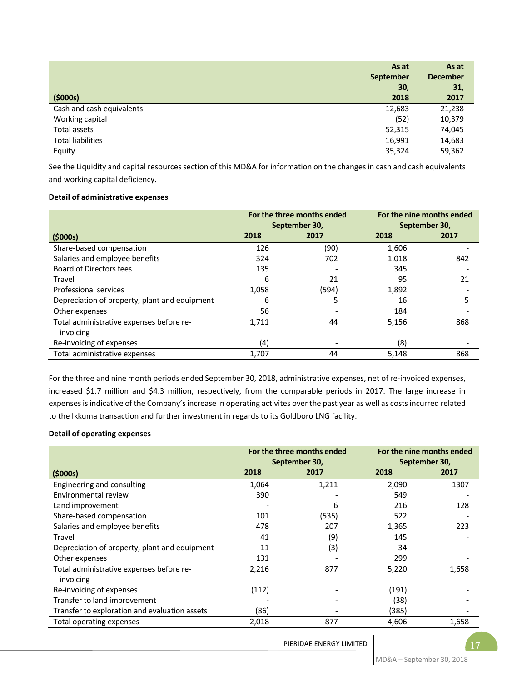|                           | As at     | As at           |
|---------------------------|-----------|-----------------|
|                           | September | <b>December</b> |
|                           | 30,       | 31,             |
| (5000s)                   | 2018      | 2017            |
| Cash and cash equivalents | 12,683    | 21,238          |
| Working capital           | (52)      | 10,379          |
| Total assets              | 52,315    | 74,045          |
| <b>Total liabilities</b>  | 16,991    | 14,683          |
| Equity                    | 35,324    | 59,362          |

See the Liquidity and capital resources section of this MD&A for information on the changes in cash and cash equivalents and working capital deficiency.

#### **Detail of administrative expenses**

|                                                       |       | For the three months ended<br>September 30, | For the nine months ended<br>September 30, |      |  |
|-------------------------------------------------------|-------|---------------------------------------------|--------------------------------------------|------|--|
| (5000s)                                               | 2018  | 2017                                        | 2018                                       | 2017 |  |
| Share-based compensation                              | 126   | (90)                                        | 1,606                                      |      |  |
| Salaries and employee benefits                        | 324   | 702                                         | 1,018                                      | 842  |  |
| Board of Directors fees                               | 135   |                                             | 345                                        |      |  |
| Travel                                                | 6     | 21                                          | 95                                         | 21   |  |
| Professional services                                 | 1,058 | (594)                                       | 1,892                                      |      |  |
| Depreciation of property, plant and equipment         | 6     |                                             | 16                                         | 5    |  |
| Other expenses                                        | 56    |                                             | 184                                        |      |  |
| Total administrative expenses before re-<br>invoicing | 1.711 | 44                                          | 5,156                                      | 868  |  |
| Re-invoicing of expenses                              | (4)   |                                             | (8)                                        |      |  |
| Total administrative expenses                         | 1.707 | 44                                          | 5.148                                      | 868  |  |

For the three and nine month periods ended September 30, 2018, administrative expenses, net of re-invoiced expenses, increased \$1.7 million and \$4.3 million, respectively, from the comparable periods in 2017. The large increase in expenses is indicative of the Company's increase in operating activites over the past year as well as costs incurred related to the Ikkuma transaction and further investment in regards to its Goldboro LNG facility.

#### **Detail of operating expenses**

|                                               |       | For the three months ended<br>September 30, | For the nine months ended<br>September 30, |       |
|-----------------------------------------------|-------|---------------------------------------------|--------------------------------------------|-------|
| (5000s)                                       | 2018  | 2017                                        | 2018                                       | 2017  |
| Engineering and consulting                    | 1,064 | 1,211                                       | 2,090                                      | 1307  |
| Environmental review                          | 390   |                                             | 549                                        |       |
| Land improvement                              |       | 6                                           | 216                                        | 128   |
| Share-based compensation                      | 101   | (535)                                       | 522                                        |       |
| Salaries and employee benefits                | 478   | 207                                         | 1,365                                      | 223   |
| Travel                                        | 41    | (9)                                         | 145                                        |       |
| Depreciation of property, plant and equipment | 11    | (3)                                         | 34                                         |       |
| Other expenses                                | 131   |                                             | 299                                        |       |
| Total administrative expenses before re-      | 2,216 | 877                                         | 5,220                                      | 1,658 |
| invoicing                                     |       |                                             |                                            |       |
| Re-invoicing of expenses                      | (112) |                                             | (191)                                      |       |
| Transfer to land improvement                  |       |                                             | (38)                                       |       |
| Transfer to exploration and evaluation assets | (86)  |                                             | (385)                                      |       |
| Total operating expenses                      | 2,018 | 877                                         | 4,606                                      | 1,658 |

**17** PIERIDAE ENERGY LIMITED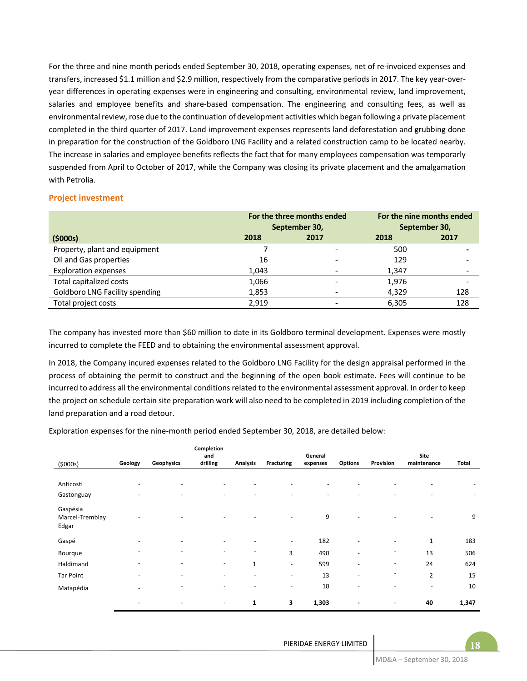For the three and nine month periods ended September 30, 2018, operating expenses, net of re-invoiced expenses and transfers, increased \$1.1 million and \$2.9 million, respectively from the comparative periods in 2017. The key year‐over‐ year differences in operating expenses were in engineering and consulting, environmental review, land improvement, salaries and employee benefits and share-based compensation. The engineering and consulting fees, as well as environmental review, rose due to the continuation of development activities which began following a private placement completed in the third quarter of 2017. Land improvement expenses represents land deforestation and grubbing done in preparation for the construction of the Goldboro LNG Facility and a related construction camp to be located nearby. The increase in salaries and employee benefits reflects the fact that for many employees compensation was temporarly suspended from April to October of 2017, while the Company was closing its private placement and the amalgamation with Petrolia.

#### **Project investment**

|                                       |       | For the three months ended<br>September 30, | For the nine months ended<br>September 30, |      |  |
|---------------------------------------|-------|---------------------------------------------|--------------------------------------------|------|--|
| (5000s)                               | 2018  | 2017                                        | 2018                                       | 2017 |  |
| Property, plant and equipment         |       |                                             | 500                                        |      |  |
| Oil and Gas properties                | 16    |                                             | 129                                        |      |  |
| <b>Exploration expenses</b>           | 1.043 |                                             | 1.347                                      |      |  |
| Total capitalized costs               | 1,066 |                                             | 1.976                                      | -    |  |
| <b>Goldboro LNG Facility spending</b> | 1,853 |                                             | 4,329                                      | 128  |  |
| Total project costs                   | 2.919 |                                             | 6,305                                      | 128  |  |

The company has invested more than \$60 million to date in its Goldboro terminal development. Expenses were mostly incurred to complete the FEED and to obtaining the environmental assessment approval.

In 2018, the Company incured expenses related to the Goldboro LNG Facility for the design appraisal performed in the process of obtaining the permit to construct and the beginning of the open book estimate. Fees will continue to be incurred to address all the environmental conditions related to the environmental assessment approval. In order to keep the project on schedule certain site preparation work will also need to be completed in 2019 including completion of the land preparation and a road detour.

Exploration expenses for the nine-month period ended September 30, 2018, are detailed below:

|                                      |                              |                          | Completion<br>and        |                          |                          | General                  |                          |           | Site                     |       |
|--------------------------------------|------------------------------|--------------------------|--------------------------|--------------------------|--------------------------|--------------------------|--------------------------|-----------|--------------------------|-------|
| (5000s)                              | Geology                      | Geophysics               | drilling                 | <b>Analysis</b>          | <b>Fracturing</b>        | expenses                 | <b>Options</b>           | Provision | maintenance              | Total |
|                                      |                              |                          |                          |                          |                          |                          |                          |           |                          |       |
| Anticosti                            | $\overline{\phantom{a}}$     | $\overline{\phantom{a}}$ | ٠                        | $\overline{\phantom{a}}$ | ٠                        |                          | $\overline{\phantom{a}}$ |           | $\overline{\phantom{0}}$ |       |
| Gastonguay                           | $\qquad \qquad \blacksquare$ | $\overline{\phantom{a}}$ | $\overline{\phantom{0}}$ | $\sim$                   | ٠                        | $\overline{\phantom{a}}$ | $\overline{\phantom{a}}$ | ٠         | $\overline{\phantom{0}}$ | -     |
| Gaspésia<br>Marcel-Tremblay<br>Edgar |                              |                          |                          |                          |                          | 9                        | $\overline{\phantom{0}}$ |           | $\overline{\phantom{a}}$ | 9     |
| Gaspé                                | $\overline{\phantom{a}}$     | $\overline{\phantom{a}}$ |                          |                          | $\overline{\phantom{a}}$ | 182                      | $\overline{\phantom{a}}$ | -         | 1                        | 183   |
| Bourque                              | $\qquad \qquad \blacksquare$ | $\overline{\phantom{a}}$ | $\overline{\phantom{0}}$ | $\overline{\phantom{a}}$ | 3                        | 490                      | $\overline{\phantom{a}}$ | ۰         | 13                       | 506   |
| Haldimand                            |                              | $\overline{\phantom{a}}$ | ۰                        | $\mathbf{1}$             | $\overline{\phantom{a}}$ | 599                      | $\overline{\phantom{a}}$ | -         | 24                       | 624   |
| <b>Tar Point</b>                     | $\overline{\phantom{0}}$     | $\overline{\phantom{a}}$ | $\overline{\phantom{0}}$ | $\overline{\phantom{a}}$ | $\overline{\phantom{0}}$ | 13                       | $\overline{\phantom{a}}$ | -         | $\overline{2}$           | 15    |
| Matapédia                            | $\overline{\phantom{a}}$     | $\overline{\phantom{a}}$ | -                        | $\overline{\phantom{a}}$ | $\overline{\phantom{a}}$ | 10                       | $\overline{\phantom{a}}$ | ٠         | $\overline{\phantom{a}}$ | 10    |
|                                      |                              | ٠                        | -                        | 1                        | 3                        | 1,303                    | $\blacksquare$           | -         | 40                       | 1,347 |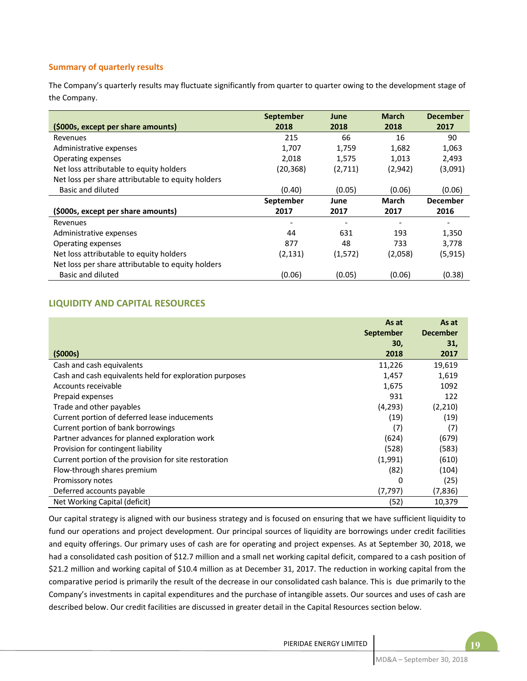# **Summary of quarterly results**

The Company's quarterly results may fluctuate significantly from quarter to quarter owing to the development stage of the Company.

|                                                   | <b>September</b> | June    | <b>March</b> | <b>December</b> |
|---------------------------------------------------|------------------|---------|--------------|-----------------|
| (\$000s, except per share amounts)                | 2018             | 2018    | 2018         | 2017            |
| Revenues                                          | 215              | 66      | 16           | 90              |
| Administrative expenses                           | 1,707            | 1,759   | 1,682        | 1,063           |
| Operating expenses                                | 2,018            | 1,575   | 1,013        | 2,493           |
| Net loss attributable to equity holders           | (20, 368)        | (2,711) | (2,942)      | (3,091)         |
| Net loss per share attributable to equity holders |                  |         |              |                 |
| Basic and diluted                                 | (0.40)           | (0.05)  | (0.06)       | (0.06)          |
|                                                   | September        | June    | <b>March</b> | <b>December</b> |
| (\$000s, except per share amounts)                | 2017             | 2017    | 2017         | 2016            |
| Revenues                                          |                  |         |              |                 |
| Administrative expenses                           | 44               | 631     | 193          | 1,350           |
| Operating expenses                                | 877              | 48      | 733          | 3,778           |
| Net loss attributable to equity holders           | (2, 131)         | (1,572) | (2,058)      | (5,915)         |
| Net loss per share attributable to equity holders |                  |         |              |                 |
| Basic and diluted                                 | (0.06)           | (0.05)  | (0.06)       | (0.38)          |

# **LIQUIDITY AND CAPITAL RESOURCES**

|                                                         | As at<br><b>September</b> | As at<br><b>December</b> |
|---------------------------------------------------------|---------------------------|--------------------------|
|                                                         | 30,                       | 31,                      |
| (\$000s)                                                | 2018                      | 2017                     |
| Cash and cash equivalents                               | 11,226                    | 19,619                   |
| Cash and cash equivalents held for exploration purposes | 1,457                     | 1,619                    |
| Accounts receivable                                     | 1,675                     | 1092                     |
| Prepaid expenses                                        | 931                       | 122                      |
| Trade and other payables                                | (4,293)                   | (2,210)                  |
| Current portion of deferred lease inducements           | (19)                      | (19)                     |
| Current portion of bank borrowings                      | (7)                       | (7)                      |
| Partner advances for planned exploration work           | (624)                     | (679)                    |
| Provision for contingent liability                      | (528)                     | (583)                    |
| Current portion of the provision for site restoration   | (1,991)                   | (610)                    |
| Flow-through shares premium                             | (82)                      | (104)                    |
| Promissory notes                                        | 0                         | (25)                     |
| Deferred accounts payable                               | (7,797)                   | (7,836)                  |
| Net Working Capital (deficit)                           | (52)                      | 10,379                   |

Our capital strategy is aligned with our business strategy and is focused on ensuring that we have sufficient liquidity to fund our operations and project development. Our principal sources of liquidity are borrowings under credit facilities and equity offerings. Our primary uses of cash are for operating and project expenses. As at September 30, 2018, we had a consolidated cash position of \$12.7 million and a small net working capital deficit, compared to a cash position of \$21.2 million and working capital of \$10.4 million as at December 31, 2017. The reduction in working capital from the comparative period is primarily the result of the decrease in our consolidated cash balance. This is due primarily to the Company's investments in capital expenditures and the purchase of intangible assets. Our sources and uses of cash are described below. Our credit facilities are discussed in greater detail in the Capital Resources section below.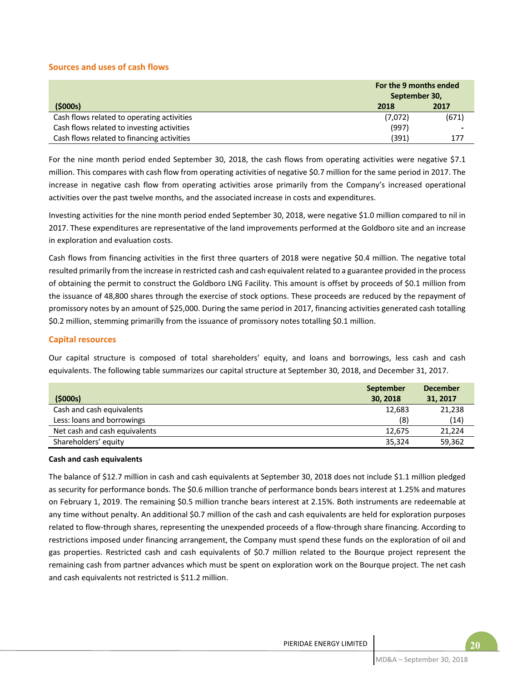#### **Sources and uses of cash flows**

|                                            | For the 9 months ended<br>September 30, |       |
|--------------------------------------------|-----------------------------------------|-------|
| (5000s)                                    | 2018                                    | 2017  |
| Cash flows related to operating activities | (7,072)                                 | (671) |
| Cash flows related to investing activities | (997)                                   |       |
| Cash flows related to financing activities | (391)                                   | 177   |

For the nine month period ended September 30, 2018, the cash flows from operating activities were negative \$7.1 million. This compares with cash flow from operating activities of negative \$0.7 million for the same period in 2017. The increase in negative cash flow from operating activities arose primarily from the Company's increased operational activities over the past twelve months, and the associated increase in costs and expenditures.

Investing activities for the nine month period ended September 30, 2018, were negative \$1.0 million compared to nil in 2017. These expenditures are representative of the land improvements performed at the Goldboro site and an increase in exploration and evaluation costs.

Cash flows from financing activities in the first three quarters of 2018 were negative \$0.4 million. The negative total resulted primarily from the increase in restricted cash and cash equivalent related to a guarantee provided in the process of obtaining the permit to construct the Goldboro LNG Facility. This amount is offset by proceeds of \$0.1 million from the issuance of 48,800 shares through the exercise of stock options. These proceeds are reduced by the repayment of promissory notes by an amount of \$25,000. During the same period in 2017, financing activities generated cash totalling \$0.2 million, stemming primarilly from the issuance of promissory notes totalling \$0.1 million.

#### **Capital resources**

Our capital structure is composed of total shareholders' equity, and loans and borrowings, less cash and cash equivalents. The following table summarizes our capital structure at September 30, 2018, and December 31, 2017.

|                               | <b>September</b> | <b>December</b> |
|-------------------------------|------------------|-----------------|
| (5000s)                       | 30, 2018         | 31, 2017        |
| Cash and cash equivalents     | 12,683           | 21,238          |
| Less: loans and borrowings    | (8)              | (14)            |
| Net cash and cash equivalents | 12.675           | 21.224          |
| Shareholders' equity          | 35,324           | 59,362          |

#### **Cash and cash equivalents**

The balance of \$12.7 million in cash and cash equivalents at September 30, 2018 does not include \$1.1 million pledged as security for performance bonds. The \$0.6 million tranche of performance bonds bears interest at 1.25% and matures on February 1, 2019. The remaining \$0.5 million tranche bears interest at 2.15%. Both instruments are redeemable at any time without penalty. An additional \$0.7 million of the cash and cash equivalents are held for exploration purposes related to flow‐through shares, representing the unexpended proceeds of a flow‐through share financing. According to restrictions imposed under financing arrangement, the Company must spend these funds on the exploration of oil and gas properties. Restricted cash and cash equivalents of \$0.7 million related to the Bourque project represent the remaining cash from partner advances which must be spent on exploration work on the Bourque project. The net cash and cash equivalents not restricted is \$11.2 million.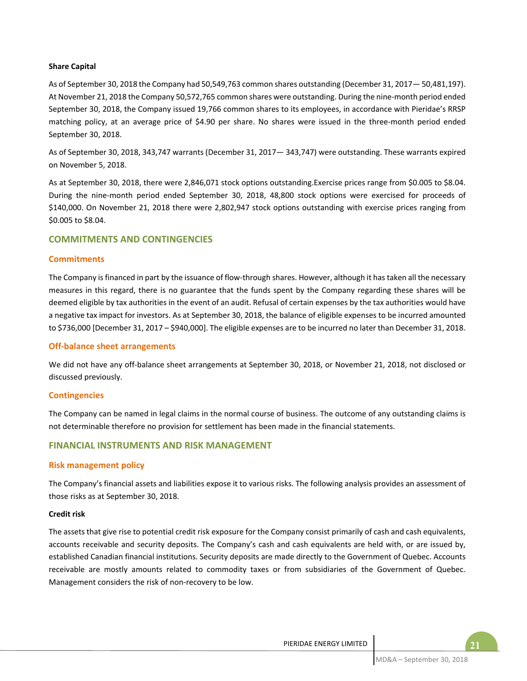#### **Share Capital**

As of September 30, 2018 the Company had 50,549,763 common shares outstanding (December 31, 2017— 50,481,197). At November 21, 2018 the Company 50,572,765 common shares were outstanding. During the nine‐month period ended September 30, 2018, the Company issued 19,766 common shares to its employees, in accordance with Pieridae's RRSP matching policy, at an average price of \$4.90 per share. No shares were issued in the three-month period ended September 30, 2018.

As of September 30, 2018, 343,747 warrants (December 31, 2017— 343,747) were outstanding. These warrants expired on November 5, 2018.

As at September 30, 2018, there were 2,846,071 stock options outstanding.Exercise prices range from \$0.005 to \$8.04. During the nine-month period ended September 30, 2018, 48,800 stock options were exercised for proceeds of \$140,000. On November 21, 2018 there were 2,802,947 stock options outstanding with exercise prices ranging from \$0.005 to \$8.04.

## **COMMITMENTS AND CONTINGENCIES**

#### **Commitments**

The Company is financed in part by the issuance of flow-through shares. However, although it has taken all the necessary measures in this regard, there is no guarantee that the funds spent by the Company regarding these shares will be deemed eligible by tax authorities in the event of an audit. Refusal of certain expenses by the tax authorities would have a negative tax impact for investors. As at September 30, 2018, the balance of eligible expenses to be incurred amounted to \$736,000 [December 31, 2017 – \$940,000]. The eligible expenses are to be incurred no later than December 31, 2018.

#### **Off‐balance sheet arrangements**

We did not have any off‐balance sheet arrangements at September 30, 2018, or November 21, 2018, not disclosed or discussed previously.

#### **Contingencies**

The Company can be named in legal claims in the normal course of business. The outcome of any outstanding claims is not determinable therefore no provision for settlement has been made in the financial statements.

## **FINANCIAL INSTRUMENTS AND RISK MANAGEMENT**

#### **Risk management policy**

The Company's financial assets and liabilities expose it to various risks. The following analysis provides an assessment of those risks as at September 30, 2018.

#### **Credit risk**

The assets that give rise to potential credit risk exposure for the Company consist primarily of cash and cash equivalents, accounts receivable and security deposits. The Company's cash and cash equivalents are held with, or are issued by, established Canadian financial institutions. Security deposits are made directly to the Government of Quebec. Accounts receivable are mostly amounts related to commodity taxes or from subsidiaries of the Government of Quebec. Management considers the risk of non‐recovery to be low.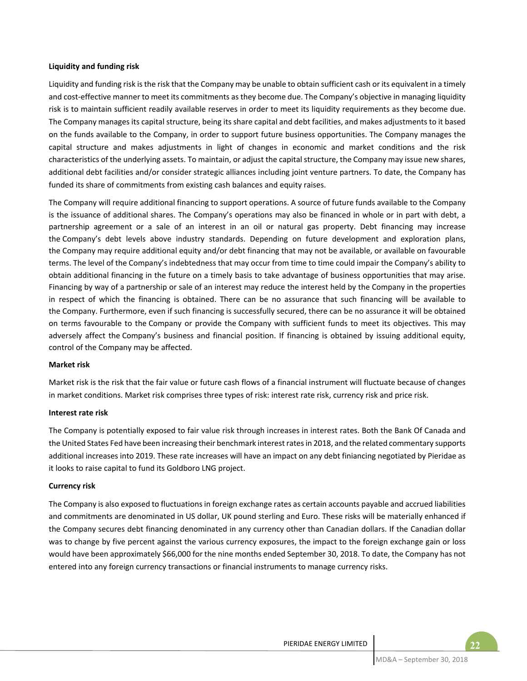#### **Liquidity and funding risk**

Liquidity and funding risk is the risk that the Company may be unable to obtain sufficient cash or its equivalent in a timely and cost-effective manner to meet its commitments as they become due. The Company's objective in managing liquidity risk is to maintain sufficient readily available reserves in order to meet its liquidity requirements as they become due. The Company manages its capital structure, being its share capital and debt facilities, and makes adjustments to it based on the funds available to the Company, in order to support future business opportunities. The Company manages the capital structure and makes adjustments in light of changes in economic and market conditions and the risk characteristics of the underlying assets. To maintain, or adjust the capital structure, the Company may issue new shares, additional debt facilities and/or consider strategic alliances including joint venture partners. To date, the Company has funded its share of commitments from existing cash balances and equity raises.

The Company will require additional financing to support operations. A source of future funds available to the Company is the issuance of additional shares. The Company's operations may also be financed in whole or in part with debt, a partnership agreement or a sale of an interest in an oil or natural gas property. Debt financing may increase the Company's debt levels above industry standards. Depending on future development and exploration plans, the Company may require additional equity and/or debt financing that may not be available, or available on favourable terms. The level of the Company's indebtedness that may occur from time to time could impair the Company's ability to obtain additional financing in the future on a timely basis to take advantage of business opportunities that may arise. Financing by way of a partnership or sale of an interest may reduce the interest held by the Company in the properties in respect of which the financing is obtained. There can be no assurance that such financing will be available to the Company. Furthermore, even if such financing is successfully secured, there can be no assurance it will be obtained on terms favourable to the Company or provide the Company with sufficient funds to meet its objectives. This may adversely affect the Company's business and financial position. If financing is obtained by issuing additional equity, control of the Company may be affected.

#### **Market risk**

Market risk is the risk that the fair value or future cash flows of a financial instrument will fluctuate because of changes in market conditions. Market risk comprises three types of risk: interest rate risk, currency risk and price risk.

#### **Interest rate risk**

The Company is potentially exposed to fair value risk through increases in interest rates. Both the Bank Of Canada and the United States Fed have been increasing their benchmark interest rates in 2018, and the related commentary supports additional increases into 2019. These rate increases will have an impact on any debt finiancing negotiated by Pieridae as it looks to raise capital to fund its Goldboro LNG project.

#### **Currency risk**

The Company is also exposed to fluctuations in foreign exchange rates as certain accounts payable and accrued liabilities and commitments are denominated in US dollar, UK pound sterling and Euro. These risks will be materially enhanced if the Company secures debt financing denominated in any currency other than Canadian dollars. If the Canadian dollar was to change by five percent against the various currency exposures, the impact to the foreign exchange gain or loss would have been approximately \$66,000 for the nine months ended September 30, 2018. To date, the Company has not entered into any foreign currency transactions or financial instruments to manage currency risks.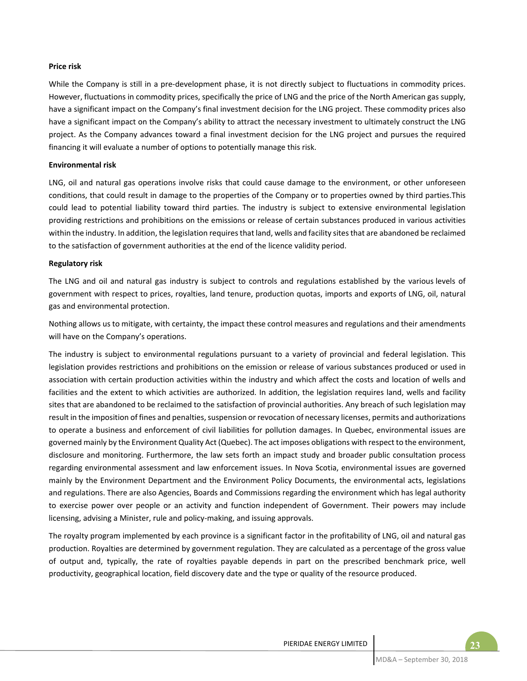#### **Price risk**

While the Company is still in a pre-development phase, it is not directly subject to fluctuations in commodity prices. However, fluctuations in commodity prices, specifically the price of LNG and the price of the North American gas supply, have a significant impact on the Company's final investment decision for the LNG project. These commodity prices also have a significant impact on the Company's ability to attract the necessary investment to ultimately construct the LNG project. As the Company advances toward a final investment decision for the LNG project and pursues the required financing it will evaluate a number of options to potentially manage this risk.

#### **Environmental risk**

LNG, oil and natural gas operations involve risks that could cause damage to the environment, or other unforeseen conditions, that could result in damage to the properties of the Company or to properties owned by third parties.This could lead to potential liability toward third parties. The industry is subject to extensive environmental legislation providing restrictions and prohibitions on the emissions or release of certain substances produced in various activities within the industry. In addition, the legislation requires that land, wells and facility sites that are abandoned be reclaimed to the satisfaction of government authorities at the end of the licence validity period.

#### **Regulatory risk**

The LNG and oil and natural gas industry is subject to controls and regulations established by the various levels of government with respect to prices, royalties, land tenure, production quotas, imports and exports of LNG, oil, natural gas and environmental protection.

Nothing allows us to mitigate, with certainty, the impact these control measures and regulations and their amendments will have on the Company's operations.

The industry is subject to environmental regulations pursuant to a variety of provincial and federal legislation. This legislation provides restrictions and prohibitions on the emission or release of various substances produced or used in association with certain production activities within the industry and which affect the costs and location of wells and facilities and the extent to which activities are authorized. In addition, the legislation requires land, wells and facility sites that are abandoned to be reclaimed to the satisfaction of provincial authorities. Any breach of such legislation may result in the imposition of fines and penalties, suspension or revocation of necessary licenses, permits and authorizations to operate a business and enforcement of civil liabilities for pollution damages. In Quebec, environmental issues are governed mainly by the Environment Quality Act (Quebec). The act imposes obligations with respect to the environment, disclosure and monitoring. Furthermore, the law sets forth an impact study and broader public consultation process regarding environmental assessment and law enforcement issues. In Nova Scotia, environmental issues are governed mainly by the Environment Department and the Environment Policy Documents, the environmental acts, legislations and regulations. There are also Agencies, Boards and Commissions regarding the environment which has legal authority to exercise power over people or an activity and function independent of Government. Their powers may include licensing, advising a Minister, rule and policy‐making, and issuing approvals.

The royalty program implemented by each province is a significant factor in the profitability of LNG, oil and natural gas production. Royalties are determined by government regulation. They are calculated as a percentage of the gross value of output and, typically, the rate of royalties payable depends in part on the prescribed benchmark price, well productivity, geographical location, field discovery date and the type or quality of the resource produced.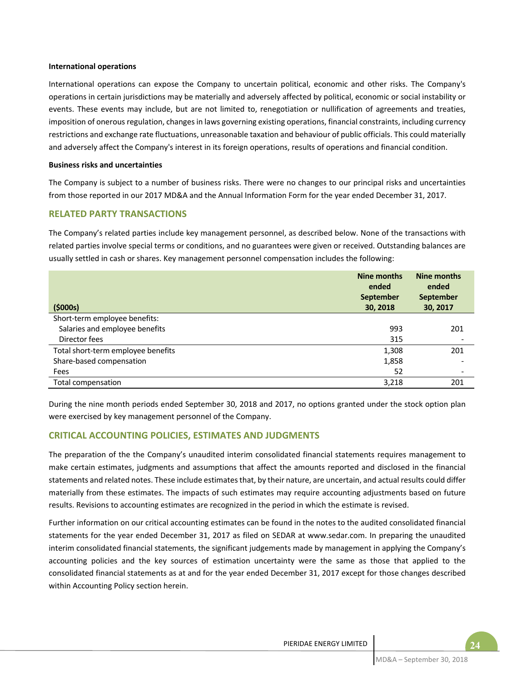#### **International operations**

International operations can expose the Company to uncertain political, economic and other risks. The Company's operations in certain jurisdictions may be materially and adversely affected by political, economic or social instability or events. These events may include, but are not limited to, renegotiation or nullification of agreements and treaties, imposition of onerous regulation, changes in laws governing existing operations, financial constraints, including currency restrictions and exchange rate fluctuations, unreasonable taxation and behaviour of public officials. This could materially and adversely affect the Company's interest in its foreign operations, results of operations and financial condition.

#### **Business risks and uncertainties**

The Company is subject to a number of business risks. There were no changes to our principal risks and uncertainties from those reported in our 2017 MD&A and the Annual Information Form for the year ended December 31, 2017.

## **RELATED PARTY TRANSACTIONS**

The Company's related parties include key management personnel, as described below. None of the transactions with related parties involve special terms or conditions, and no guarantees were given or received. Outstanding balances are usually settled in cash or shares. Key management personnel compensation includes the following:

| (5000s)                            | Nine months<br>ended<br><b>September</b><br>30, 2018 | Nine months<br>ended<br><b>September</b><br>30, 2017 |
|------------------------------------|------------------------------------------------------|------------------------------------------------------|
| Short-term employee benefits:      |                                                      |                                                      |
| Salaries and employee benefits     | 993                                                  | 201                                                  |
| Director fees                      | 315                                                  |                                                      |
| Total short-term employee benefits | 1,308                                                | 201                                                  |
| Share-based compensation           | 1,858                                                |                                                      |
| Fees                               | 52                                                   |                                                      |
| Total compensation                 | 3,218                                                | 201                                                  |

During the nine month periods ended September 30, 2018 and 2017, no options granted under the stock option plan were exercised by key management personnel of the Company.

# **CRITICAL ACCOUNTING POLICIES, ESTIMATES AND JUDGMENTS**

The preparation of the the Company's unaudited interim consolidated financial statements requires management to make certain estimates, judgments and assumptions that affect the amounts reported and disclosed in the financial statements and related notes. These include estimates that, by their nature, are uncertain, and actual results could differ materially from these estimates. The impacts of such estimates may require accounting adjustments based on future results. Revisions to accounting estimates are recognized in the period in which the estimate is revised.

Further information on our critical accounting estimates can be found in the notes to the audited consolidated financial statements for the year ended December 31, 2017 as filed on SEDAR at www.sedar.com. In preparing the unaudited interim consolidated financial statements, the significant judgements made by management in applying the Company's accounting policies and the key sources of estimation uncertainty were the same as those that applied to the consolidated financial statements as at and for the year ended December 31, 2017 except for those changes described within Accounting Policy section herein.